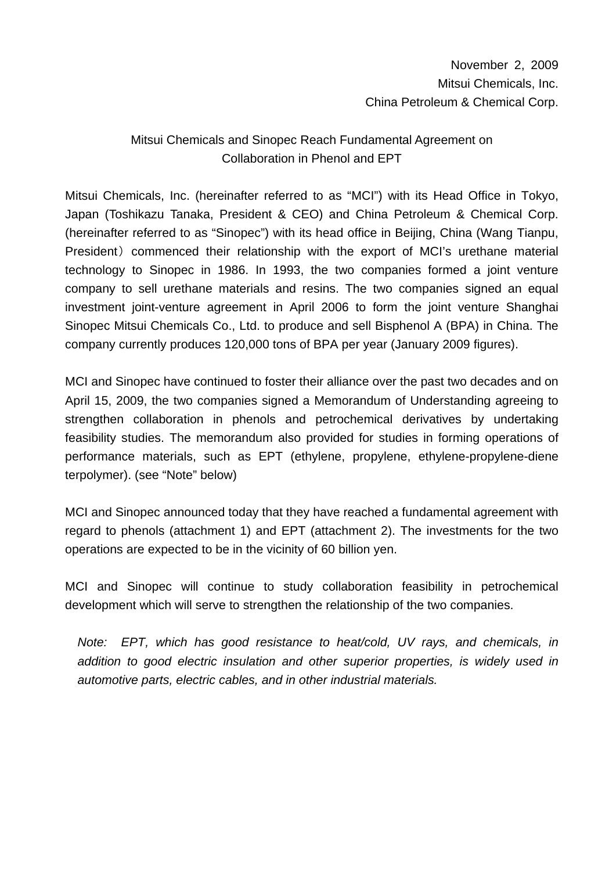# Mitsui Chemicals and Sinopec Reach Fundamental Agreement on Collaboration in Phenol and EPT

Mitsui Chemicals, Inc. (hereinafter referred to as "MCI") with its Head Office in Tokyo, Japan (Toshikazu Tanaka, President & CEO) and China Petroleum & Chemical Corp. (hereinafter referred to as "Sinopec") with its head office in Beijing, China (Wang Tianpu, President) commenced their relationship with the export of MCI's urethane material technology to Sinopec in 1986. In 1993, the two companies formed a joint venture company to sell urethane materials and resins. The two companies signed an equal investment joint-venture agreement in April 2006 to form the joint venture Shanghai Sinopec Mitsui Chemicals Co., Ltd. to produce and sell Bisphenol A (BPA) in China. The company currently produces 120,000 tons of BPA per year (January 2009 figures).

MCI and Sinopec have continued to foster their alliance over the past two decades and on April 15, 2009, the two companies signed a Memorandum of Understanding agreeing to strengthen collaboration in phenols and petrochemical derivatives by undertaking feasibility studies. The memorandum also provided for studies in forming operations of performance materials, such as EPT (ethylene, propylene, ethylene-propylene-diene terpolymer). (see "Note" below)

MCI and Sinopec announced today that they have reached a fundamental agreement with regard to phenols (attachment 1) and EPT (attachment 2). The investments for the two operations are expected to be in the vicinity of 60 billion yen.

MCI and Sinopec will continue to study collaboration feasibility in petrochemical development which will serve to strengthen the relationship of the two companies.

*Note: EPT, which has good resistance to heat/cold, UV rays, and chemicals, in addition to good electric insulation and other superior properties, is widely used in automotive parts, electric cables, and in other industrial materials.*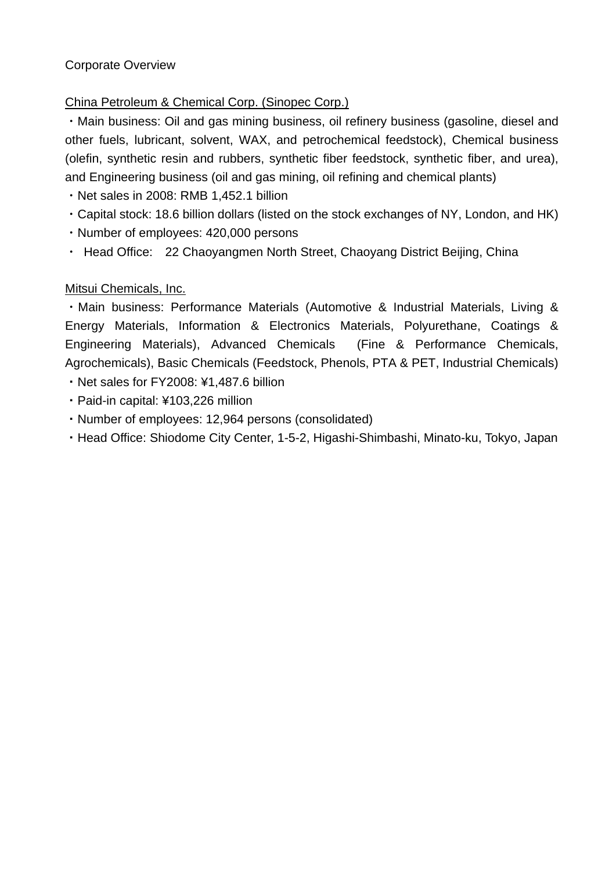#### Corporate Overview

#### China Petroleum & Chemical Corp. (Sinopec Corp.)

・Main business: Oil and gas mining business, oil refinery business (gasoline, diesel and other fuels, lubricant, solvent, WAX, and petrochemical feedstock), Chemical business (olefin, synthetic resin and rubbers, synthetic fiber feedstock, synthetic fiber, and urea), and Engineering business (oil and gas mining, oil refining and chemical plants)

・Net sales in 2008: RMB 1,452.1 billion

- ・Capital stock: 18.6 billion dollars (listed on the stock exchanges of NY, London, and HK)
- ・Number of employees: 420,000 persons
- Head Office: 22 Chaoyangmen North Street, Chaoyang District Beijing, China

### Mitsui Chemicals, Inc.

・Main business: Performance Materials (Automotive & Industrial Materials, Living & Energy Materials, Information & Electronics Materials, Polyurethane, Coatings & Engineering Materials), Advanced Chemicals (Fine & Performance Chemicals, Agrochemicals), Basic Chemicals (Feedstock, Phenols, PTA & PET, Industrial Chemicals)

- ・Net sales for FY2008: ¥1,487.6 billion
- ・Paid-in capital: ¥103,226 million
- ・Number of employees: 12,964 persons (consolidated)
- ・Head Office: Shiodome City Center, 1-5-2, Higashi-Shimbashi, Minato-ku, Tokyo, Japan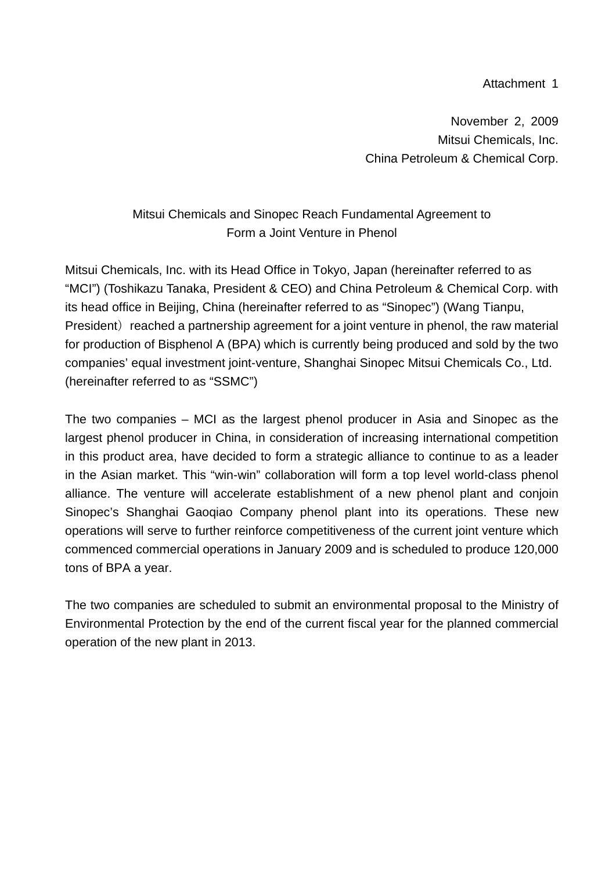#### Attachment 1

November 2, 2009 Mitsui Chemicals, Inc. China Petroleum & Chemical Corp.

## Mitsui Chemicals and Sinopec Reach Fundamental Agreement to Form a Joint Venture in Phenol

Mitsui Chemicals, Inc. with its Head Office in Tokyo, Japan (hereinafter referred to as "MCI") (Toshikazu Tanaka, President & CEO) and China Petroleum & Chemical Corp. with its head office in Beijing, China (hereinafter referred to as "Sinopec") (Wang Tianpu, President) reached a partnership agreement for a joint venture in phenol, the raw material for production of Bisphenol A (BPA) which is currently being produced and sold by the two companies' equal investment joint-venture, Shanghai Sinopec Mitsui Chemicals Co., Ltd. (hereinafter referred to as "SSMC")

The two companies – MCI as the largest phenol producer in Asia and Sinopec as the largest phenol producer in China, in consideration of increasing international competition in this product area, have decided to form a strategic alliance to continue to as a leader in the Asian market. This "win-win" collaboration will form a top level world-class phenol alliance. The venture will accelerate establishment of a new phenol plant and conjoin Sinopec's Shanghai Gaoqiao Company phenol plant into its operations. These new operations will serve to further reinforce competitiveness of the current joint venture which commenced commercial operations in January 2009 and is scheduled to produce 120,000 tons of BPA a year.

The two companies are scheduled to submit an environmental proposal to the Ministry of Environmental Protection by the end of the current fiscal year for the planned commercial operation of the new plant in 2013.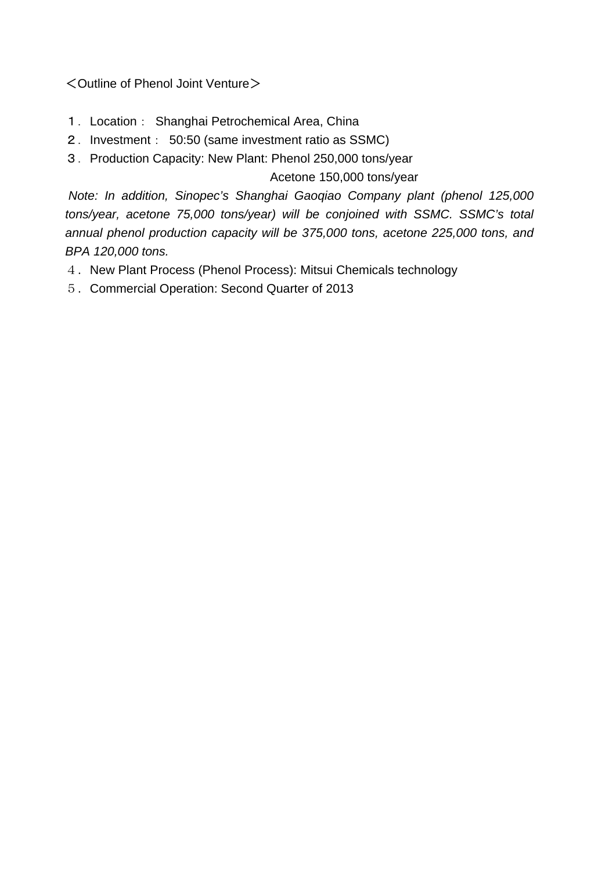<Outline of Phenol Joint Venture>

- 1.Location: Shanghai Petrochemical Area, China
- 2.Investment: 50:50 (same investment ratio as SSMC)
- 3.Production Capacity: New Plant: Phenol 250,000 tons/year

Acetone 150,000 tons/year

 *Note: In addition, Sinopec's Shanghai Gaoqiao Company plant (phenol 125,000 tons/year, acetone 75,000 tons/year) will be conjoined with SSMC. SSMC's total annual phenol production capacity will be 375,000 tons, acetone 225,000 tons, and BPA 120,000 tons.* 

- 4.New Plant Process (Phenol Process): Mitsui Chemicals technology
- 5.Commercial Operation: Second Quarter of 2013